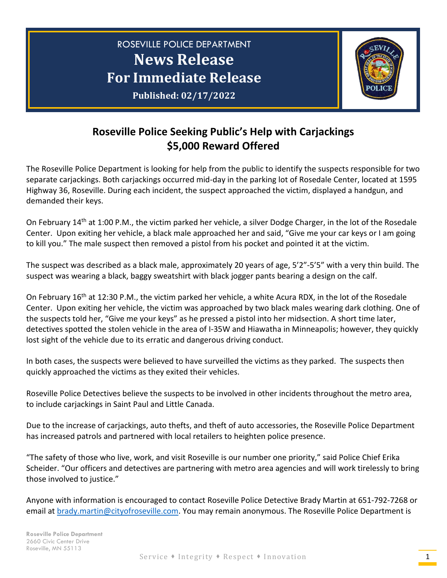

## **Roseville Police Seeking Public's Help with Carjackings \$5,000 Reward Offered**

The Roseville Police Department is looking for help from the public to identify the suspects responsible for two separate carjackings. Both carjackings occurred mid-day in the parking lot of Rosedale Center, located at 1595 Highway 36, Roseville. During each incident, the suspect approached the victim, displayed a handgun, and demanded their keys.

On February 14th at 1:00 P.M., the victim parked her vehicle, a silver Dodge Charger, in the lot of the Rosedale Center. Upon exiting her vehicle, a black male approached her and said, "Give me your car keys or I am going to kill you." The male suspect then removed a pistol from his pocket and pointed it at the victim.

The suspect was described as a black male, approximately 20 years of age, 5'2"-5'5" with a very thin build. The suspect was wearing a black, baggy sweatshirt with black jogger pants bearing a design on the calf.

On February 16th at 12:30 P.M., the victim parked her vehicle, a white Acura RDX, in the lot of the Rosedale Center. Upon exiting her vehicle, the victim was approached by two black males wearing dark clothing. One of the suspects told her, "Give me your keys" as he pressed a pistol into her midsection. A short time later, detectives spotted the stolen vehicle in the area of I-35W and Hiawatha in Minneapolis; however, they quickly lost sight of the vehicle due to its erratic and dangerous driving conduct.

In both cases, the suspects were believed to have surveilled the victims as they parked. The suspects then quickly approached the victims as they exited their vehicles.

Roseville Police Detectives believe the suspects to be involved in other incidents throughout the metro area, to include carjackings in Saint Paul and Little Canada.

Due to the increase of carjackings, auto thefts, and theft of auto accessories, the Roseville Police Department has increased patrols and partnered with local retailers to heighten police presence.

"The safety of those who live, work, and visit Roseville is our number one priority," said Police Chief Erika Scheider. "Our officers and detectives are partnering with metro area agencies and will work tirelessly to bring those involved to justice."

Anyone with information is encouraged to contact Roseville Police Detective Brady Martin at 651-792-7268 or email at [brady.martin@cityofroseville.com.](mailto:brady.martin@cityofroseville.com) You may remain anonymous. The Roseville Police Department is